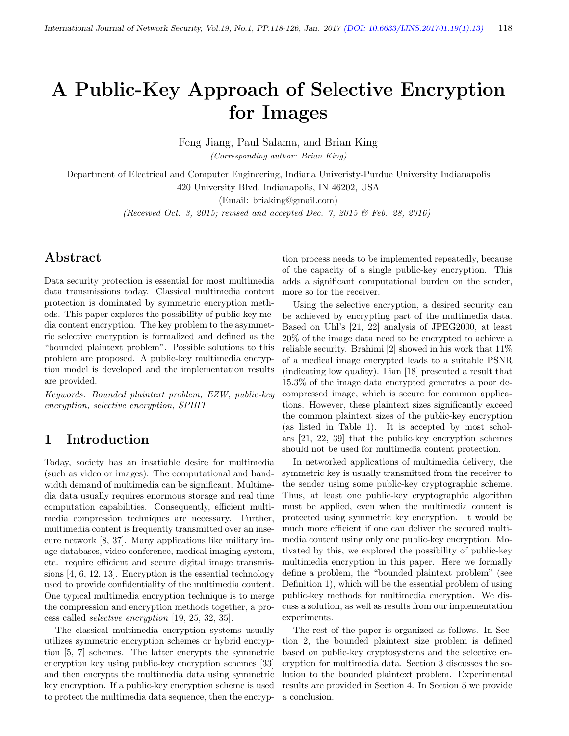# A Public-Key Approach of Selective Encryption for Images

Feng Jiang, Paul Salama, and Brian King (Corresponding author: Brian King)

Department of Electrical and Computer Engineering, Indiana Univeristy-Purdue University Indianapolis 420 University Blvd, Indianapolis, IN 46202, USA

(Email: briaking@gmail.com)

(Received Oct. 3, 2015; revised and accepted Dec. 7, 2015 & Feb. 28, 2016)

# Abstract

Data security protection is essential for most multimedia data transmissions today. Classical multimedia content protection is dominated by symmetric encryption methods. This paper explores the possibility of public-key media content encryption. The key problem to the asymmetric selective encryption is formalized and defined as the "bounded plaintext problem". Possible solutions to this problem are proposed. A public-key multimedia encryption model is developed and the implementation results are provided.

Keywords: Bounded plaintext problem, EZW, public-key encryption, selective encryption, SPIHT

### 1 Introduction

Today, society has an insatiable desire for multimedia (such as video or images). The computational and bandwidth demand of multimedia can be significant. Multimedia data usually requires enormous storage and real time computation capabilities. Consequently, efficient multimedia compression techniques are necessary. Further, multimedia content is frequently transmitted over an insecure network [8, 37]. Many applications like military image databases, video conference, medical imaging system, etc. require efficient and secure digital image transmissions [4, 6, 12, 13]. Encryption is the essential technology used to provide confidentiality of the multimedia content. One typical multimedia encryption technique is to merge the compression and encryption methods together, a process called selective encryption [19, 25, 32, 35].

The classical multimedia encryption systems usually utilizes symmetric encryption schemes or hybrid encryption [5, 7] schemes. The latter encrypts the symmetric encryption key using public-key encryption schemes [33] and then encrypts the multimedia data using symmetric key encryption. If a public-key encryption scheme is used to protect the multimedia data sequence, then the encryp-

tion process needs to be implemented repeatedly, because of the capacity of a single public-key encryption. This adds a significant computational burden on the sender, more so for the receiver.

Using the selective encryption, a desired security can be achieved by encrypting part of the multimedia data. Based on Uhl's [21, 22] analysis of JPEG2000, at least 20% of the image data need to be encrypted to achieve a reliable security. Brahimi [2] showed in his work that 11% of a medical image encrypted leads to a suitable PSNR (indicating low quality). Lian [18] presented a result that 15.3% of the image data encrypted generates a poor decompressed image, which is secure for common applications. However, these plaintext sizes significantly exceed the common plaintext sizes of the public-key encryption (as listed in Table 1). It is accepted by most scholars [21, 22, 39] that the public-key encryption schemes should not be used for multimedia content protection.

In networked applications of multimedia delivery, the symmetric key is usually transmitted from the receiver to the sender using some public-key cryptographic scheme. Thus, at least one public-key cryptographic algorithm must be applied, even when the multimedia content is protected using symmetric key encryption. It would be much more efficient if one can deliver the secured multimedia content using only one public-key encryption. Motivated by this, we explored the possibility of public-key multimedia encryption in this paper. Here we formally define a problem, the "bounded plaintext problem" (see Definition 1), which will be the essential problem of using public-key methods for multimedia encryption. We discuss a solution, as well as results from our implementation experiments.

The rest of the paper is organized as follows. In Section 2, the bounded plaintext size problem is defined based on public-key cryptosystems and the selective encryption for multimedia data. Section 3 discusses the solution to the bounded plaintext problem. Experimental results are provided in Section 4. In Section 5 we provide a conclusion.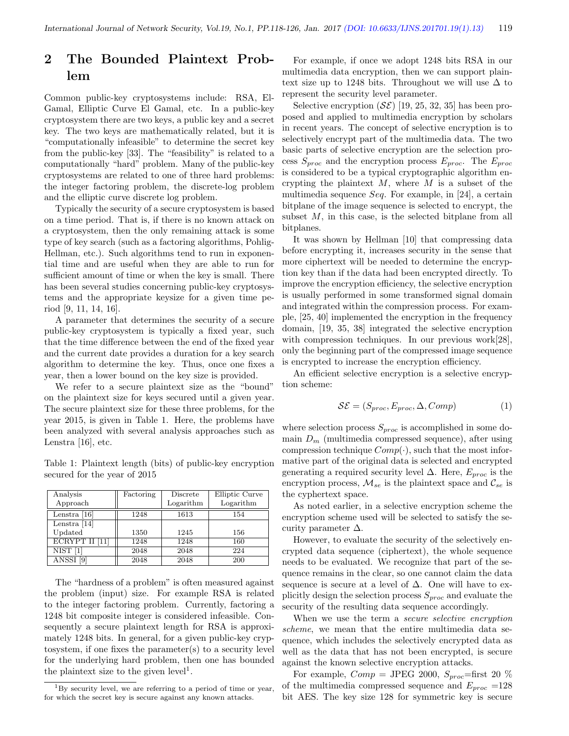# 2 The Bounded Plaintext Problem

Common public-key cryptosystems include: RSA, El-Gamal, Elliptic Curve El Gamal, etc. In a public-key cryptosystem there are two keys, a public key and a secret key. The two keys are mathematically related, but it is "computationally infeasible" to determine the secret key from the public-key [33]. The "feasibility" is related to a computationally "hard" problem. Many of the public-key cryptosystems are related to one of three hard problems: the integer factoring problem, the discrete-log problem and the elliptic curve discrete log problem.

Typically the security of a secure cryptosystem is based on a time period. That is, if there is no known attack on a cryptosystem, then the only remaining attack is some type of key search (such as a factoring algorithms, Pohlig-Hellman, etc.). Such algorithms tend to run in exponential time and are useful when they are able to run for sufficient amount of time or when the key is small. There has been several studies concerning public-key cryptosystems and the appropriate keysize for a given time period [9, 11, 14, 16].

A parameter that determines the security of a secure public-key cryptosystem is typically a fixed year, such that the time difference between the end of the fixed year and the current date provides a duration for a key search algorithm to determine the key. Thus, once one fixes a year, then a lower bound on the key size is provided.

We refer to a secure plaintext size as the "bound" on the plaintext size for keys secured until a given year. The secure plaintext size for these three problems, for the year 2015, is given in Table 1. Here, the problems have been analyzed with several analysis approaches such as Lenstra [16], etc.

Table 1: Plaintext length (bits) of public-key encryption secured for the year of 2015

| Analysis       | Factoring | Discrete  | Elliptic Curve |
|----------------|-----------|-----------|----------------|
| Approach       |           | Logarithm | Logarithm      |
| Lenstra $[16]$ | 1248      | 1613      | 154            |
| Lenstra $[14]$ |           |           |                |
| Updated        | 1350      | 1245      | 156            |
| ECRYPT II [11] | 1248      | 1248      | 160            |
| NIST           | 2048      | 2048      | 224            |
| ANSSI<br>[9]   | 2048      | 2048      | 200            |

The "hardness of a problem" is often measured against the problem (input) size. For example RSA is related to the integer factoring problem. Currently, factoring a 1248 bit composite integer is considered infeasible. Consequently a secure plaintext length for RSA is approximately 1248 bits. In general, for a given public-key cryptosystem, if one fixes the parameter(s) to a security level for the underlying hard problem, then one has bounded the plaintext size to the given  $level<sup>1</sup>$ .

For example, if once we adopt 1248 bits RSA in our multimedia data encryption, then we can support plaintext size up to 1248 bits. Throughout we will use  $\Delta$  to represent the security level parameter.

Selective encryption  $(S\mathcal{E})$  [19, 25, 32, 35] has been proposed and applied to multimedia encryption by scholars in recent years. The concept of selective encryption is to selectively encrypt part of the multimedia data. The two basic parts of selective encryption are the selection process  $S_{proc}$  and the encryption process  $E_{proc}$ . The  $E_{proc}$ is considered to be a typical cryptographic algorithm encrypting the plaintext  $M$ , where  $M$  is a subset of the multimedia sequence Seq. For example, in  $[24]$ , a certain bitplane of the image sequence is selected to encrypt, the subset M, in this case, is the selected bitplane from all bitplanes.

It was shown by Hellman [10] that compressing data before encrypting it, increases security in the sense that more ciphertext will be needed to determine the encryption key than if the data had been encrypted directly. To improve the encryption efficiency, the selective encryption is usually performed in some transformed signal domain and integrated within the compression process. For example, [25, 40] implemented the encryption in the frequency domain, [19, 35, 38] integrated the selective encryption with compression techniques. In our previous work[28], only the beginning part of the compressed image sequence is encrypted to increase the encryption efficiency.

An efficient selective encryption is a selective encryption scheme:

$$
\mathcal{SE} = (S_{proc}, E_{proc}, \Delta, Comp) \tag{1}
$$

where selection process  $S_{proc}$  is accomplished in some domain  $D_m$  (multimedia compressed sequence), after using compression technique  $Comp(\cdot)$ , such that the most informative part of the original data is selected and encrypted generating a required security level  $\Delta$ . Here,  $E_{proc}$  is the encryption process,  $\mathcal{M}_{se}$  is the plaintext space and  $\mathcal{C}_{se}$  is the cyphertext space.

As noted earlier, in a selective encryption scheme the encryption scheme used will be selected to satisfy the security parameter  $\Delta$ .

However, to evaluate the security of the selectively encrypted data sequence (ciphertext), the whole sequence needs to be evaluated. We recognize that part of the sequence remains in the clear, so one cannot claim the data sequence is secure at a level of  $\Delta$ . One will have to explicitly design the selection process  $S_{proc}$  and evaluate the security of the resulting data sequence accordingly.

When we use the term a *secure selective encryption* scheme, we mean that the entire multimedia data sequence, which includes the selectively encrypted data as well as the data that has not been encrypted, is secure against the known selective encryption attacks.

For example,  $Comp = JPEG 2000$ ,  $S_{proc} = first 20 %$ of the multimedia compressed sequence and  $E_{proc}$  =128 bit AES. The key size 128 for symmetric key is secure

<sup>1</sup>By security level, we are referring to a period of time or year, for which the secret key is secure against any known attacks.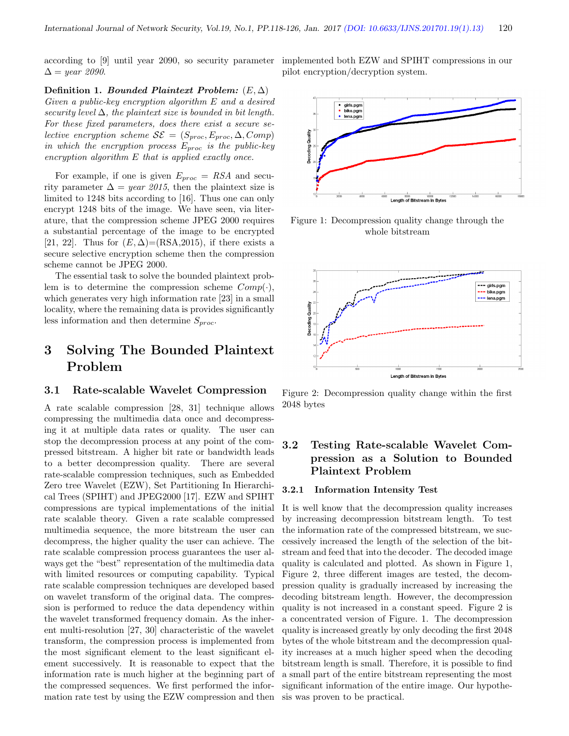$\Delta =$  year 2090.

Definition 1. Bounded Plaintext Problem:  $(E, \Delta)$ Given a public-key encryption algorithm E and a desired security level  $\Delta$ , the plaintext size is bounded in bit length. For these fixed parameters, does there exist a secure selective encryption scheme  $\mathcal{S}\mathcal{E} = (S_{proc}, E_{proc}, \Delta, Comp)$ in which the encryption process  $E_{proc}$  is the public-key encryption algorithm E that is applied exactly once.

For example, if one is given  $E_{proc} = RSA$  and security parameter  $\Delta = year$  2015, then the plaintext size is limited to 1248 bits according to [16]. Thus one can only encrypt 1248 bits of the image. We have seen, via literature, that the compression scheme JPEG 2000 requires a substantial percentage of the image to be encrypted [21, 22]. Thus for  $(E, \Delta) = (RSA, 2015)$ , if there exists a secure selective encryption scheme then the compression scheme cannot be JPEG 2000.

The essential task to solve the bounded plaintext problem is to determine the compression scheme  $Comp(\cdot)$ , which generates very high information rate [23] in a small locality, where the remaining data is provides significantly less information and then determine  $S_{proc}$ .

# 3 Solving The Bounded Plaintext Problem

#### 3.1 Rate-scalable Wavelet Compression

A rate scalable compression [28, 31] technique allows compressing the multimedia data once and decompressing it at multiple data rates or quality. The user can stop the decompression process at any point of the compressed bitstream. A higher bit rate or bandwidth leads to a better decompression quality. There are several rate-scalable compression techniques, such as Embedded Zero tree Wavelet (EZW), Set Partitioning In Hierarchical Trees (SPIHT) and JPEG2000 [17]. EZW and SPIHT compressions are typical implementations of the initial rate scalable theory. Given a rate scalable compressed multimedia sequence, the more bitstream the user can decompress, the higher quality the user can achieve. The rate scalable compression process guarantees the user always get the "best" representation of the multimedia data with limited resources or computing capability. Typical rate scalable compression techniques are developed based on wavelet transform of the original data. The compression is performed to reduce the data dependency within the wavelet transformed frequency domain. As the inherent multi-resolution [27, 30] characteristic of the wavelet transform, the compression process is implemented from the most significant element to the least significant element successively. It is reasonable to expect that the information rate is much higher at the beginning part of the compressed sequences. We first performed the information rate test by using the EZW compression and then

according to [9] until year 2090, so security parameter implemented both EZW and SPIHT compressions in our pilot encryption/decryption system.



Figure 1: Decompression quality change through the whole bitstream



Figure 2: Decompression quality change within the first 2048 bytes

### 3.2 Testing Rate-scalable Wavelet Compression as a Solution to Bounded Plaintext Problem

#### 3.2.1 Information Intensity Test

It is well know that the decompression quality increases by increasing decompression bitstream length. To test the information rate of the compressed bitstream, we successively increased the length of the selection of the bitstream and feed that into the decoder. The decoded image quality is calculated and plotted. As shown in Figure 1, Figure 2, three different images are tested, the decompression quality is gradually increased by increasing the decoding bitstream length. However, the decompression quality is not increased in a constant speed. Figure 2 is a concentrated version of Figure. 1. The decompression quality is increased greatly by only decoding the first 2048 bytes of the whole bitstream and the decompression quality increases at a much higher speed when the decoding bitstream length is small. Therefore, it is possible to find a small part of the entire bitstream representing the most significant information of the entire image. Our hypothesis was proven to be practical.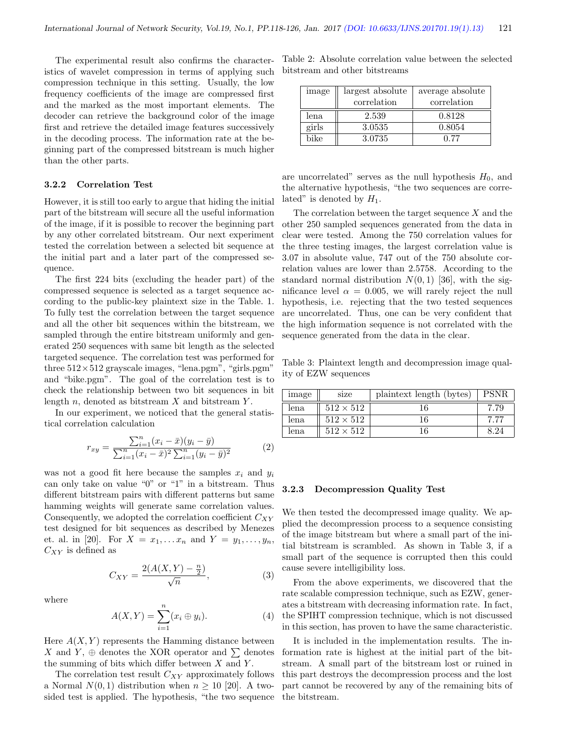The experimental result also confirms the characteristics of wavelet compression in terms of applying such compression technique in this setting. Usually, the low frequency coefficients of the image are compressed first and the marked as the most important elements. The decoder can retrieve the background color of the image first and retrieve the detailed image features successively in the decoding process. The information rate at the beginning part of the compressed bitstream is much higher than the other parts.

#### 3.2.2 Correlation Test

However, it is still too early to argue that hiding the initial part of the bitstream will secure all the useful information of the image, if it is possible to recover the beginning part by any other correlated bitstream. Our next experiment tested the correlation between a selected bit sequence at the initial part and a later part of the compressed sequence.

The first 224 bits (excluding the header part) of the compressed sequence is selected as a target sequence according to the public-key plaintext size in the Table. 1. To fully test the correlation between the target sequence and all the other bit sequences within the bitstream, we sampled through the entire bitstream uniformly and generated 250 sequences with same bit length as the selected targeted sequence. The correlation test was performed for three  $512\times512$  grayscale images, "lena.pgm", "girls.pgm" and "bike.pgm". The goal of the correlation test is to check the relationship between two bit sequences in bit length  $n$ , denoted as bitstream  $X$  and bitstream  $Y$ .

In our experiment, we noticed that the general statistical correlation calculation

$$
r_{xy} = \frac{\sum_{i=1}^{n} (x_i - \bar{x})(y_i - \bar{y})}{\sum_{i=1}^{n} (x_i - \bar{x})^2 \sum_{i=1}^{n} (y_i - \bar{y})^2}
$$
(2)

was not a good fit here because the samples  $x_i$  and  $y_i$ can only take on value "0" or "1" in a bitstream. Thus different bitstream pairs with different patterns but same hamming weights will generate same correlation values. Consequently, we adopted the correlation coefficient  $C_{XY}$ test designed for bit sequences as described by Menezes et. al. in [20]. For  $X = x_1, \ldots, x_n$  and  $Y = y_1, \ldots, y_n$ ,  $C_{XY}$  is defined as

$$
C_{XY} = \frac{2(A(X, Y) - \frac{n}{2})}{\sqrt{n}},
$$
\n(3)

where

$$
A(X, Y) = \sum_{i=1}^{n} (x_i \oplus y_i).
$$
 (4)

Here  $A(X, Y)$  represents the Hamming distance between X and Y,  $\oplus$  denotes the XOR operator and  $\sum$  denotes the summing of bits which differ between  $X$  and  $Y$ .

The correlation test result  $C_{XY}$  approximately follows a Normal  $N(0, 1)$  distribution when  $n \geq 10$  [20]. A twosided test is applied. The hypothesis, "the two sequence

Table 2: Absolute correlation value between the selected bitstream and other bitstreams

| image | largest absolute | average absolute |  |
|-------|------------------|------------------|--|
|       | correlation      | correlation      |  |
| lena  | 2.539            | 0.8128           |  |
| girls | 3.0535           | 0.8054           |  |
| bike  | 3.0735           | በ 77             |  |

are uncorrelated" serves as the null hypothesis  $H_0$ , and the alternative hypothesis, "the two sequences are correlated" is denoted by  $H_1$ .

The correlation between the target sequence  $X$  and the other 250 sampled sequences generated from the data in clear were tested. Among the 750 correlation values for the three testing images, the largest correlation value is 3.07 in absolute value, 747 out of the 750 absolute correlation values are lower than 2.5758. According to the standard normal distribution  $N(0, 1)$  [36], with the significance level  $\alpha = 0.005$ , we will rarely reject the null hypothesis, i.e. rejecting that the two tested sequences are uncorrelated. Thus, one can be very confident that the high information sequence is not correlated with the sequence generated from the data in the clear.

Table 3: Plaintext length and decompression image quality of EZW sequences

| image | size             | plaintext length (bytes) | <b>PSNR</b> |
|-------|------------------|--------------------------|-------------|
| lena. | $512 \times 512$ | 16                       | 7.79        |
| lena  | $512 \times 512$ | 16                       | 7.77        |
| lena  | $512 \times 512$ | l 6                      | 8.24        |

#### 3.2.3 Decompression Quality Test

We then tested the decompressed image quality. We applied the decompression process to a sequence consisting of the image bitstream but where a small part of the initial bitstream is scrambled. As shown in Table 3, if a small part of the sequence is corrupted then this could cause severe intelligibility loss.

From the above experiments, we discovered that the rate scalable compression technique, such as EZW, generates a bitstream with decreasing information rate. In fact, the SPIHT compression technique, which is not discussed in this section, has proven to have the same characteristic.

It is included in the implementation results. The information rate is highest at the initial part of the bitstream. A small part of the bitstream lost or ruined in this part destroys the decompression process and the lost part cannot be recovered by any of the remaining bits of the bitstream.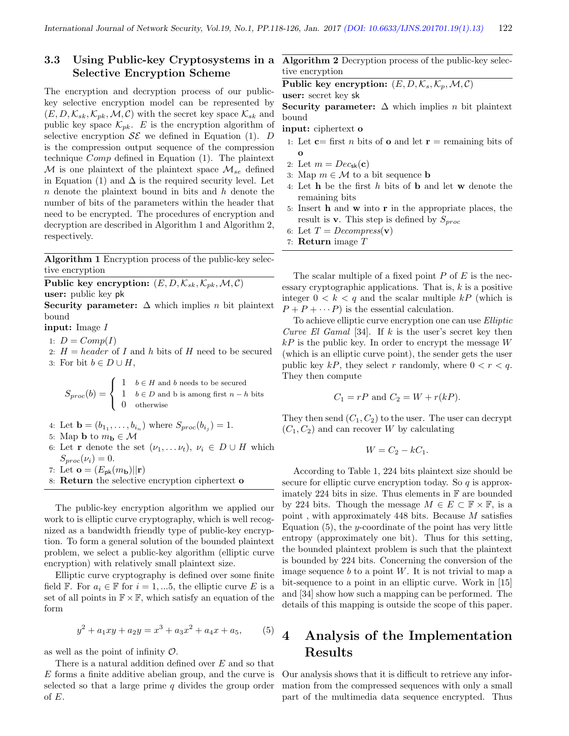### 3.3 Using Public-key Cryptosystems in a Selective Encryption Scheme

The encryption and decryption process of our publickey selective encryption model can be represented by  $(E, D, \mathcal{K}_{sk}, \mathcal{K}_{pk}, \mathcal{M}, \mathcal{C})$  with the secret key space  $\mathcal{K}_{sk}$  and public key space  $\mathcal{K}_{pk}$ . E is the encryption algorithm of selective encryption  $\mathcal{S}\mathcal{E}$  we defined in Equation (1). D is the compression output sequence of the compression technique Comp defined in Equation (1). The plaintext M is one plaintext of the plaintext space  $\mathcal{M}_{se}$  defined in Equation (1) and  $\Delta$  is the required security level. Let  $n$  denote the plaintext bound in bits and  $h$  denote the number of bits of the parameters within the header that need to be encrypted. The procedures of encryption and decryption are described in Algorithm 1 and Algorithm 2, respectively.

Algorithm 1 Encryption process of the public-key selective encryption

Public key encryption:  $(E, D, \mathcal{K}_{sk}, \mathcal{K}_{pk}, \mathcal{M}, \mathcal{C})$ user: public key pk

Security parameter:  $\Delta$  which implies n bit plaintext bound

input: Image I

- 1:  $D = Comp(I)$
- 2:  $H = header$  of I and h bits of H need to be secured 3: For bit  $b \in D \cup H$ ,

$$
S_{proc}(b) = \begin{cases} 1 & b \in H \text{ and } b \text{ needs to be secured} \\ 1 & b \in D \text{ and } b \text{ is among first } n - h \text{ bits} \\ 0 & \text{otherwise} \end{cases}
$$

- 4: Let  $\mathbf{b} = (b_{1_1}, \ldots, b_{i_n})$  where  $S_{proc}(b_{i_j}) = 1$ .
- 5: Map **b** to  $m_{\mathbf{b}} \in \mathcal{M}$
- 6: Let **r** denote the set  $(\nu_1, \ldots \nu_t), \nu_i \in D \cup H$  which  $S_{proc}(\nu_i) = 0.$
- 7: Let  $\mathbf{o} = (E_{\mathsf{pk}}(m_{\mathbf{b}})||\mathbf{r})$
- 8: Return the selective encryption ciphertext o

The public-key encryption algorithm we applied our work to is elliptic curve cryptography, which is well recognized as a bandwidth friendly type of public-key encryption. To form a general solution of the bounded plaintext problem, we select a public-key algorithm (elliptic curve encryption) with relatively small plaintext size.

Elliptic curve cryptography is defined over some finite field F. For  $a_i \in \mathbb{F}$  for  $i = 1, \dots 5$ , the elliptic curve E is a set of all points in  $\mathbb{F} \times \mathbb{F}$ , which satisfy an equation of the form

$$
y^2 + a_1xy + a_2y = x^3 + a_3x^2 + a_4x + a_5,
$$
 (5)

as well as the point of infinity  $\mathcal{O}$ .

There is a natural addition defined over  $E$  and so that E forms a finite additive abelian group, and the curve is selected so that a large prime  $q$  divides the group order of E.

Algorithm 2 Decryption process of the public-key selective encryption

Public key encryption:  $(E, D, K_s, \mathcal{K}_p, \mathcal{M}, \mathcal{C})$ 

user: secret key sk

Security parameter:  $\Delta$  which implies *n* bit plaintext bound

input: ciphertext o

- 1: Let  $c=$  first *n* bits of **o** and let  $r =$  remaining bits of o
- 2: Let  $m = Dec_{sk}(\mathbf{c})$
- 3: Map  $m \in \mathcal{M}$  to a bit sequence **b**
- 4: Let h be the first h bits of b and let w denote the remaining bits
- 5: Insert h and w into r in the appropriate places, the result is **v**. This step is defined by  $S_{proc}$
- 6: Let  $T = Decompress(v)$
- 7: **Return** image  $T$

The scalar multiple of a fixed point  $P$  of  $E$  is the necessary cryptographic applications. That is,  $k$  is a positive integer  $0 < k < q$  and the scalar multiple kP (which is  $P + P + \cdots P$  is the essential calculation.

To achieve elliptic curve encryption one can use Elliptic Curve El Gamal [34]. If  $k$  is the user's secret key then  $kP$  is the public key. In order to encrypt the message  $W$ (which is an elliptic curve point), the sender gets the user public key kP, they select r randomly, where  $0 < r < q$ . They then compute

$$
C_1 = rP \text{ and } C_2 = W + r(kP).
$$

They then send  $(C_1, C_2)$  to the user. The user can decrypt  $(C_1, C_2)$  and can recover W by calculating

$$
W = C_2 - kC_1.
$$

According to Table 1, 224 bits plaintext size should be secure for elliptic curve encryption today. So  $q$  is approximately 224 bits in size. Thus elements in  $\mathbb F$  are bounded by 224 bits. Though the message  $M \in E \subset \mathbb{F} \times \mathbb{F}$ , is a point , with approximately 448 bits. Because  $M$  satisfies Equation  $(5)$ , the y-coordinate of the point has very little entropy (approximately one bit). Thus for this setting, the bounded plaintext problem is such that the plaintext is bounded by 224 bits. Concerning the conversion of the image sequence  $b$  to a point  $W$ . It is not trivial to map a bit-sequence to a point in an elliptic curve. Work in [15] and [34] show how such a mapping can be performed. The details of this mapping is outside the scope of this paper.

# 4 Analysis of the Implementation Results

Our analysis shows that it is difficult to retrieve any information from the compressed sequences with only a small part of the multimedia data sequence encrypted. Thus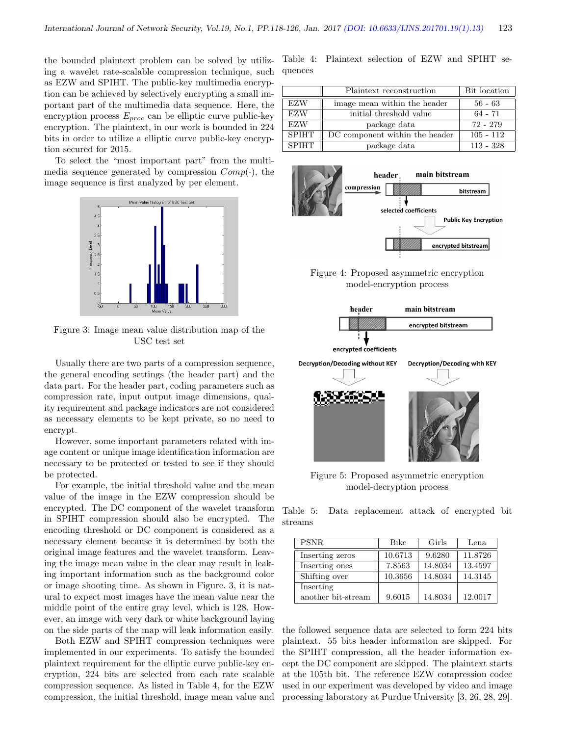the bounded plaintext problem can be solved by utilizing a wavelet rate-scalable compression technique, such as EZW and SPIHT. The public-key multimedia encryption can be achieved by selectively encrypting a small important part of the multimedia data sequence. Here, the encryption process  $E_{proc}$  can be elliptic curve public-key encryption. The plaintext, in our work is bounded in 224 bits in order to utilize a elliptic curve public-key encryption secured for 2015.

To select the "most important part" from the multimedia sequence generated by compression  $Comp(\cdot)$ , the image sequence is first analyzed by per element.



Figure 3: Image mean value distribution map of the USC test set

Usually there are two parts of a compression sequence, the general encoding settings (the header part) and the data part. For the header part, coding parameters such as compression rate, input output image dimensions, quality requirement and package indicators are not considered as necessary elements to be kept private, so no need to encrypt.

However, some important parameters related with image content or unique image identification information are necessary to be protected or tested to see if they should be protected.

For example, the initial threshold value and the mean value of the image in the EZW compression should be encrypted. The DC component of the wavelet transform in SPIHT compression should also be encrypted. The encoding threshold or DC component is considered as a necessary element because it is determined by both the original image features and the wavelet transform. Leaving the image mean value in the clear may result in leaking important information such as the background color or image shooting time. As shown in Figure. 3, it is natural to expect most images have the mean value near the middle point of the entire gray level, which is 128. However, an image with very dark or white background laying on the side parts of the map will leak information easily.

Both EZW and SPIHT compression techniques were implemented in our experiments. To satisfy the bounded plaintext requirement for the elliptic curve public-key encryption, 224 bits are selected from each rate scalable compression sequence. As listed in Table 4, for the EZW compression, the initial threshold, image mean value and

Table 4: Plaintext selection of EZW and SPIHT sequences

|              | Plaintext reconstruction       | Bit location |  |
|--------------|--------------------------------|--------------|--|
| <b>EZW</b>   | image mean within the header   | $56 - 63$    |  |
| <b>EZW</b>   | initial threshold value        | $64 - 71$    |  |
| <b>EZW</b>   | package data                   | 72 - 279     |  |
| <b>SPIHT</b> | DC component within the header | $105 - 112$  |  |
| <b>SPIHT</b> | package data                   | $113 - 328$  |  |



Figure 4: Proposed asymmetric encryption model-encryption process



Figure 5: Proposed asymmetric encryption model-decryption process

Table 5: Data replacement attack of encrypted bit streams

| <b>PSNR</b>        | <b>Bike</b> | Girls   | Lena    |
|--------------------|-------------|---------|---------|
| Inserting zeros    | 10.6713     | 9.6280  | 11.8726 |
| Inserting ones     | 7.8563      | 14.8034 | 13.4597 |
| Shifting over      | 10.3656     | 14.8034 | 14.3145 |
| Inserting          |             |         |         |
| another bit-stream | 9.6015      | 14.8034 | 12.0017 |

the followed sequence data are selected to form 224 bits plaintext. 55 bits header information are skipped. For the SPIHT compression, all the header information except the DC component are skipped. The plaintext starts at the 105th bit. The reference EZW compression codec used in our experiment was developed by video and image processing laboratory at Purdue University [3, 26, 28, 29].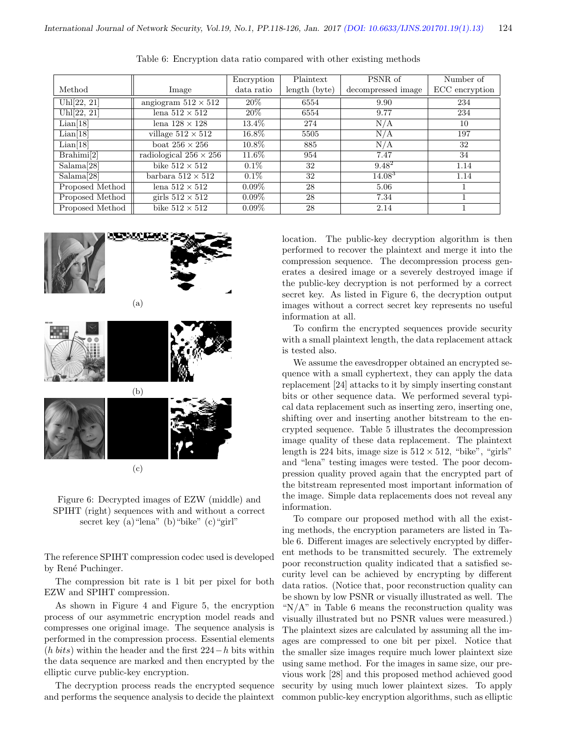|                 |                               | Encryption | Plaintext     | PSNR of            | Number of      |
|-----------------|-------------------------------|------------|---------------|--------------------|----------------|
| Method          | Image                         | data ratio | length (byte) | decompressed image | ECC encryption |
| Uhl[22, 21]     | angiogram $512 \times 512$    | 20\%       | 6554          | 9.90               | 234            |
| Uhl[22, 21]     | lena $512 \times 512$         | $20\%$     | 6554          | 9.77               | 234            |
| Lian[18]        | lena $128 \times 128$         | $13.4\%$   | 274           | N/A                | 10             |
| Lian[18]        | village $512 \times 512$      | $16.8\%$   | 5505          | N/A                | 197            |
| Lian[18]        | boat $256 \times 256$         | 10.8%      | 885           | N/A                | 32             |
| Brahimi[2]      | radiological $256 \times 256$ | 11.6%      | 954           | 7.47               | 34             |
| Salama[28]      | bike $512 \times 512$         | $0.1\%$    | 32            | $9.48^{2}$         | 1.14           |
| Salama[28]      | barbara $512 \times 512$      | $0.1\%$    | 32            | $14.08^{3}$        | 1.14           |
| Proposed Method | lena $512 \times 512$         | $0.09\%$   | 28            | 5.06               |                |
| Proposed Method | girls $512 \times 512$        | $0.09\%$   | 28            | 7.34               |                |
| Proposed Method | bike $512 \times 512$         | $0.09\%$   | 28            | 2.14               |                |

Table 6: Encryption data ratio compared with other existing methods



Figure 6: Decrypted images of EZW (middle) and SPIHT (right) sequences with and without a correct secret key (a) "lena" (b) "bike" (c) "girl"

The reference SPIHT compression codec used is developed by René Puchinger.

The compression bit rate is 1 bit per pixel for both EZW and SPIHT compression.

As shown in Figure 4 and Figure 5, the encryption process of our asymmetric encryption model reads and compresses one original image. The sequence analysis is performed in the compression process. Essential elements  $(h \text{ bits})$  within the header and the first 224−h bits within the data sequence are marked and then encrypted by the elliptic curve public-key encryption.

The decryption process reads the encrypted sequence and performs the sequence analysis to decide the plaintext location. The public-key decryption algorithm is then performed to recover the plaintext and merge it into the compression sequence. The decompression process generates a desired image or a severely destroyed image if the public-key decryption is not performed by a correct secret key. As listed in Figure 6, the decryption output images without a correct secret key represents no useful information at all.

To confirm the encrypted sequences provide security with a small plaintext length, the data replacement attack is tested also.

We assume the eavesdropper obtained an encrypted sequence with a small cyphertext, they can apply the data replacement [24] attacks to it by simply inserting constant bits or other sequence data. We performed several typical data replacement such as inserting zero, inserting one, shifting over and inserting another bitstream to the encrypted sequence. Table 5 illustrates the decompression image quality of these data replacement. The plaintext length is 224 bits, image size is  $512 \times 512$ , "bike", "girls" and "lena" testing images were tested. The poor decompression quality proved again that the encrypted part of the bitstream represented most important information of the image. Simple data replacements does not reveal any information.

To compare our proposed method with all the existing methods, the encryption parameters are listed in Table 6. Different images are selectively encrypted by different methods to be transmitted securely. The extremely poor reconstruction quality indicated that a satisfied security level can be achieved by encrypting by different data ratios. (Notice that, poor reconstruction quality can be shown by low PSNR or visually illustrated as well. The " $N/A$ " in Table 6 means the reconstruction quality was visually illustrated but no PSNR values were measured.) The plaintext sizes are calculated by assuming all the images are compressed to one bit per pixel. Notice that the smaller size images require much lower plaintext size using same method. For the images in same size, our previous work [28] and this proposed method achieved good security by using much lower plaintext sizes. To apply common public-key encryption algorithms, such as elliptic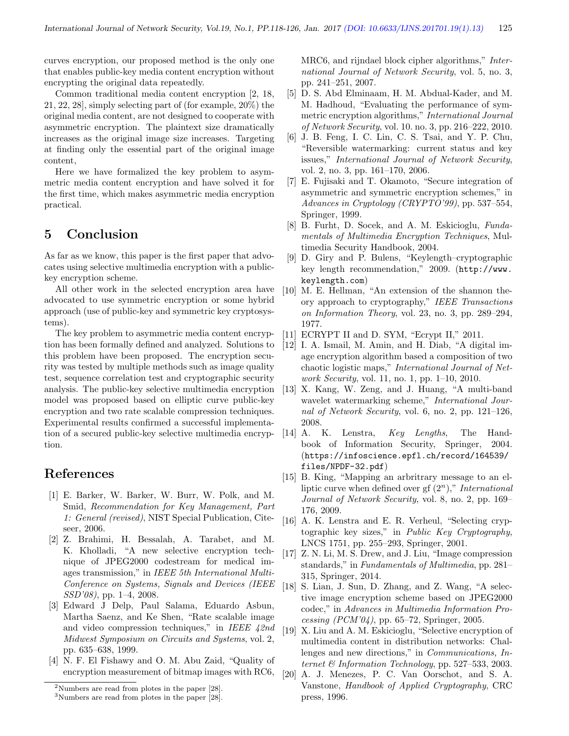curves encryption, our proposed method is the only one that enables public-key media content encryption without encrypting the original data repeatedly.

Common traditional media content encryption [2, 18, 21, 22, 28], simply selecting part of (for example, 20%) the original media content, are not designed to cooperate with asymmetric encryption. The plaintext size dramatically increases as the original image size increases. Targeting at finding only the essential part of the original image content,

Here we have formalized the key problem to asymmetric media content encryption and have solved it for the first time, which makes asymmetric media encryption practical.

### 5 Conclusion

As far as we know, this paper is the first paper that advocates using selective multimedia encryption with a publickey encryption scheme.

All other work in the selected encryption area have advocated to use symmetric encryption or some hybrid approach (use of public-key and symmetric key cryptosystems).

The key problem to asymmetric media content encryption has been formally defined and analyzed. Solutions to this problem have been proposed. The encryption security was tested by multiple methods such as image quality test, sequence correlation test and cryptographic security analysis. The public-key selective multimedia encryption model was proposed based on elliptic curve public-key encryption and two rate scalable compression techniques. Experimental results confirmed a successful implementation of a secured public-key selective multimedia encryption.

## References

- [1] E. Barker, W. Barker, W. Burr, W. Polk, and M. Smid, Recommendation for Key Management, Part 1: General (revised), NIST Special Publication, Citeseer, 2006.
- [2] Z. Brahimi, H. Bessalah, A. Tarabet, and M. K. Kholladi, "A new selective encryption technique of JPEG2000 codestream for medical images transmission," in IEEE 5th International Multi-Conference on Systems, Signals and Devices (IEEE SSD'08), pp. 1–4, 2008.
- [3] Edward J Delp, Paul Salama, Eduardo Asbun, Martha Saenz, and Ke Shen, "Rate scalable image and video compression techniques," in IEEE 42nd Midwest Symposium on Circuits and Systems, vol. 2, pp. 635–638, 1999.
- [4] N. F. El Fishawy and O. M. Abu Zaid, "Quality of encryption measurement of bitmap images with RC6,

MRC6, and rijndael block cipher algorithms," International Journal of Network Security, vol. 5, no. 3, pp. 241–251, 2007.

- [5] D. S. Abd Elminaam, H. M. Abdual-Kader, and M. M. Hadhoud, "Evaluating the performance of symmetric encryption algorithms," International Journal of Network Security, vol. 10. no. 3, pp. 216–222, 2010.
- [6] J. B. Feng, I. C. Lin, C. S. Tsai, and Y. P. Chu, "Reversible watermarking: current status and key issues," International Journal of Network Security, vol. 2, no. 3, pp. 161–170, 2006.
- [7] E. Fujisaki and T. Okamoto, "Secure integration of asymmetric and symmetric encryption schemes," in Advances in Cryptology (CRYPTO'99), pp. 537–554, Springer, 1999.
- [8] B. Furht, D. Socek, and A. M. Eskicioglu, Fundamentals of Multimedia Encryption Techniques, Multimedia Security Handbook, 2004.
- [9] D. Giry and P. Bulens, "Keylength–cryptographic key length recommendation," 2009. (http://www. keylength.com)
- [10] M. E. Hellman, "An extension of the shannon theory approach to cryptography," IEEE Transactions on Information Theory, vol. 23, no. 3, pp. 289–294, 1977.
- [11] ECRYPT II and D. SYM, "Ecrypt II," 2011.
- [12] I. A. Ismail, M. Amin, and H. Diab, "A digital image encryption algorithm based a composition of two chaotic logistic maps," International Journal of Network Security, vol. 11, no. 1, pp. 1–10, 2010.
- [13] X. Kang, W. Zeng, and J. Huang, "A multi-band wavelet watermarking scheme," International Journal of Network Security, vol. 6, no. 2, pp. 121–126, 2008.
- [14] A. K. Lenstra, Key Lengths, The Handbook of Information Security, Springer, 2004. (https://infoscience.epfl.ch/record/164539/ files/NPDF-32.pdf)
- [15] B. King, "Mapping an arbritrary message to an elliptic curve when defined over gf  $(2^n)$ ," International Journal of Network Security, vol. 8, no. 2, pp. 169– 176, 2009.
- [16] A. K. Lenstra and E. R. Verheul, "Selecting cryptographic key sizes," in Public Key Cryptography, LNCS 1751, pp. 255–293, Springer, 2001.
- [17] Z. N. Li, M. S. Drew, and J. Liu, "Image compression standards," in Fundamentals of Multimedia, pp. 281– 315, Springer, 2014.
- [18] S. Lian, J. Sun, D. Zhang, and Z. Wang, "A selective image encryption scheme based on JPEG2000 codec," in Advances in Multimedia Information Processing  $(PCM'04)$ , pp. 65–72, Springer, 2005.
- [19] X. Liu and A. M. Eskicioglu, "Selective encryption of multimedia content in distribution networks: Challenges and new directions," in Communications, Internet & Information Technology, pp. 527–533, 2003.
- [20] A. J. Menezes, P. C. Van Oorschot, and S. A. Vanstone, Handbook of Applied Cryptography, CRC press, 1996.

<sup>2</sup>Numbers are read from plotes in the paper [28].

<sup>3</sup>Numbers are read from plotes in the paper [28].